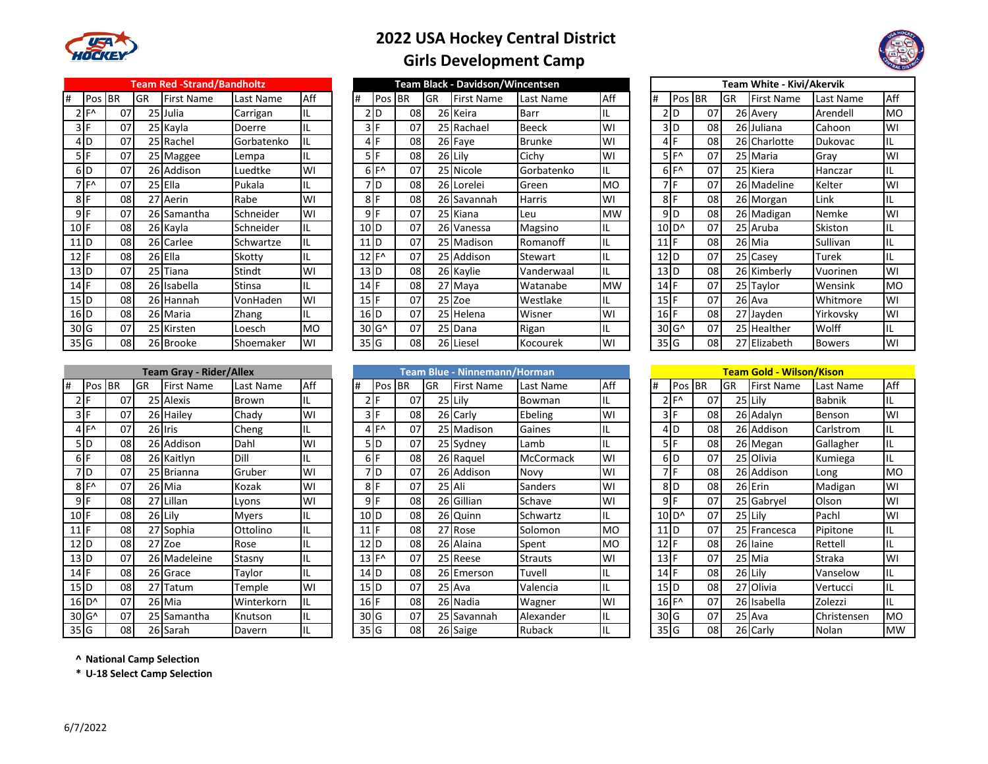

## **2022 USA Hockey Central District**



|  | <b>Girls Development Camp</b> |
|--|-------------------------------|
|--|-------------------------------|

|                   |               |    |      | <b>Team Red -Strand/Bandholtz</b> |               |           |   |                                       |            |           | <b>Team Black - Davidson/Wincentsen</b> |               |           | <b>Team White - Kivi/Akervik</b> |                           |        |    |                   |              |
|-------------------|---------------|----|------|-----------------------------------|---------------|-----------|---|---------------------------------------|------------|-----------|-----------------------------------------|---------------|-----------|----------------------------------|---------------------------|--------|----|-------------------|--------------|
| #                 | Pos <b>BR</b> |    | IGR  | <b>First Name</b>                 | Last Name     | Aff       | # | Pos                                   | <b>IBR</b> | <b>GR</b> | First Name                              | Last Name     | Aff       | #                                |                           | Pos BR | GR | <b>First Name</b> | Last N       |
|                   | ∣⊏∧           | 07 |      | 25 Julia                          | Carrigan      | IL        |   | 2 D                                   | 08         |           | 26 Keira                                | Barr          | IL        |                                  | 2D                        | 07     |    | 26 Avery          | Arend        |
|                   | 3 I F         | 07 |      | 25 Kayla                          | Doerre        | IL        |   | 3 I F                                 | 07         |           | 25 Rachael                              | Beeck.        | WI        |                                  | 3D                        | 08     |    | 26 Juliana        | Cahoo        |
|                   | 4ID           | 07 |      | 25 Rachel                         | Gorbatenko    | IL        |   | 4 F                                   | 08         |           | 26 Faye                                 | <b>Brunke</b> | WI        |                                  | 4F                        | 08     |    | 26 Charlotte      | Dukov        |
|                   | 5 I F         | 07 |      | 25 Maggee                         | Lempa         | IL        |   | 5 IF                                  | 08         |           | 26Lily                                  | Cichy         | WI        |                                  | $5F^{\prime}$             | 07     |    | 25 Maria          | Gray         |
|                   | 6ID           | 07 |      | 26 Addison                        | Luedtke       | WI        |   | $6F^{\prime}$                         | 07         |           | 25 Nicole                               | Gorbatenko    | IL        |                                  | $6F^{\prime}$             | 07     |    | 25 Kiera          | Hancz        |
|                   | 7 F A         | 07 |      | 25 Ella                           | Pukala        | IL        |   | 7D                                    | 08         |           | 26 Lorelei                              | Green         | <b>MO</b> |                                  | 7 F                       | 07     |    | 26 Madeline       | Kelter       |
| 8F                |               | 08 | 27   | Aerin                             | Rabe          | WI        |   | 8 F                                   | 08         |           | 26 Savannah                             | Harris        | WI        |                                  | 8 <sup>IF</sup>           | 08     |    | 26 Morgan         | Link         |
| 9 F               |               | 07 |      | 26 Samantha                       | Schneider     | WI        |   | 9 F                                   | 07         |           | 25 Kiana                                | Leu           | <b>MW</b> |                                  | 9D                        | 08     |    | 26 Madigan        | <b>Nemk</b>  |
| $10$ F            |               | 08 |      | 26 Kayla                          | Schneider     | IL        |   | 10 <sub>1D</sub>                      | 07         |           | 26 Vanessa                              | Magsino       | IL        |                                  | $10$ <sub>D</sub> $\circ$ | 07     |    | 25 Aruba          | Skisto       |
| $11$ D            |               | 08 |      | 26 Carlee                         | Schwartze     | IL        |   | 11 <sub>1D</sub>                      | 07         |           | 25 Madison                              | Romanoff      | IL        |                                  | $11$ F                    | 08     |    | 26 Mia            | Sulliva      |
| $12$ F            |               | 08 |      | 26 Ella                           | Skotty        | IL        |   | $12$ F <sup><math>\wedge</math></sup> | 07         |           | 25 Addison                              | Stewart       | ١L        |                                  | $12$ <sub>D</sub>         | 07     |    | 25 Casey          | Turek        |
| $13$ $D$          |               | 07 | 25 l | Tiana                             | Stindt        | WI        |   | 13 <sub>1D</sub>                      | 08         |           | 26 Kaylie                               | Vanderwaal    | IL        |                                  | $13$ <sub>D</sub>         | 08     |    | 26 Kimberly       | Vuorir       |
| $14$ F            |               | 08 |      | 26 Isabella                       | <b>Stinsa</b> | IL        |   | $14$ F                                | 08         |           | 27 Maya                                 | Watanabe      | <b>MW</b> |                                  | $14$ F                    | 07     |    | 25 Taylor         | Wensi        |
| $15$ <sub>D</sub> |               | 08 |      | 26 Hannah                         | VonHaden      | WI        |   | 15F                                   | 07         |           | 25 Zoe                                  | Westlake      | IL        |                                  | $15$ F                    | 07     |    | 26 Ava            | Whitn        |
| $16$ D            |               | 08 |      | 26 Maria                          | Zhang         | IL        |   | $16$ D                                | 07         |           | 25 Helena                               | Wisner        | WI        |                                  | $16$ F                    | 08     |    | 27 Jayden         | Yirkov       |
| 30 G              |               | 07 |      | 25 Kirsten                        | Loesch        | <b>MO</b> |   | $30$ G <sup><math>\land</math></sup>  | 07         |           | 25 Dana                                 | Rigan         | IL        |                                  | 30 G <sup>^</sup>         | 07     |    | 25 Healther       | Wolff        |
| 35 G              |               | 08 |      | 26 Brooke                         | Shoemaker     | WI        |   | 35 G                                  | 08         |           | 26 Liesel                               | Kocourek      | WI        |                                  | 35 G                      | 08     |    | 27 Elizabeth      | <b>Bower</b> |
|                   |               |    |      |                                   |               |           |   |                                       |            |           |                                         |               |           |                                  |                           |        |    |                   |              |

|                  | <b>Team Gray - Rider/Allex</b> |           |    |                   |              |     |  |  |  |  |
|------------------|--------------------------------|-----------|----|-------------------|--------------|-----|--|--|--|--|
| #                | Pos                            | <b>BR</b> | GR | <b>First Name</b> | Last Name    | Aff |  |  |  |  |
| $\overline{2}$   | F                              | 07        |    | 25 Alexis         | Brown        | IL  |  |  |  |  |
| 3                | F                              | 07        |    | 26 Hailey         | Chady        | WI  |  |  |  |  |
| 4                | F٨                             | 07        |    | 26 Iris           | Cheng        | IL  |  |  |  |  |
| 5                | D                              | 08        |    | 26 Addison        | Dahl         | WI  |  |  |  |  |
| 6                | F                              | 08        |    | 26 Kaitlyn        | Dill         | IL  |  |  |  |  |
| 7                | D                              | 07        |    | 25 Brianna        | Gruber       | WI  |  |  |  |  |
| 8                | F٨                             | 07        |    | 26 Mia            | Kozak        | WI  |  |  |  |  |
| 9                | F                              | 08        |    | 27 Lillan         | Lyons        | WI  |  |  |  |  |
| 10               | F                              | 08        |    | 26 Lily           | <b>Myers</b> | IL  |  |  |  |  |
| 11               | F                              | 08        |    | 27 Sophia         | Ottolino     | IL  |  |  |  |  |
| 12               | D                              | 08        |    | 27 Zoe            | Rose         | IL  |  |  |  |  |
| 13 <sub>1D</sub> |                                | 07        |    | 26 Madeleine      | Stasny       | IL  |  |  |  |  |
| 14               | F                              | 08        |    | 26 Grace          | Taylor       | IL  |  |  |  |  |
| 15               | D                              | 08        |    | 27 Tatum          | Temple       | WI  |  |  |  |  |
| 16               | D <sup>^</sup>                 | 07        |    | 26 Mia            | Winterkorn   | IL  |  |  |  |  |
|                  | 30 G <sup>^</sup>              | 07        |    | 25 Samantha       | Knutson      | IL  |  |  |  |  |
| 35 G             |                                | 08        |    | 26 Sarah          | Davern       | IL  |  |  |  |  |

|                   |                  |            |             | Team Red -Strand/Bandhoitz |            |           |                                |                                       |     |            | ream Black - Davidson/Wincentsen |            |           |                   |                                                 |    |           | Team white - Kivi/Akervik |               |           |
|-------------------|------------------|------------|-------------|----------------------------|------------|-----------|--------------------------------|---------------------------------------|-----|------------|----------------------------------|------------|-----------|-------------------|-------------------------------------------------|----|-----------|---------------------------|---------------|-----------|
|                   | Pos              | <b>IBR</b> | <b>I</b> GR | <b>First Name</b>          | Last Name  | Aff       | #                              | Pos BR                                |     | <b>IGR</b> | <b>First Name</b>                | Last Name  | Aff       | $\sharp$          | <b>Pos BR</b>                                   |    | <b>GR</b> | <b>First Name</b>         | Last Name     | Aff       |
|                   | $2 F^{\wedge}$   | 07         |             | 25 Julia                   | Carrigan   | IL        |                                | 2ID                                   | 08  |            | 26 Keira                         | Barr       |           |                   | 2D                                              | 07 |           | 26 Avery                  | Arendell      | <b>MO</b> |
|                   | 3 I F            | 07         |             | 25 Kayla                   | Doerre     | IL        |                                | 3 IF                                  | 07  |            | 25 Rachael                       | Beeck      | WI        |                   | 3D                                              | 08 |           | 26 Juliana                | Cahoon        | WI        |
|                   | 4ID.             | 07         |             | 25 Rachel                  | Gorbatenko | IL        |                                |                                       | 081 |            | 26 Faye                          | Brunke     | WI        |                   | 4                                               | 08 |           | 26 Charlotte              | Dukovac       | ЧL.       |
|                   | 5IF              | 07         |             | 25 Maggee                  | Lempa      | IL        |                                | 5 I F                                 | 081 |            | 26 Lily                          | Cichy      | WI        |                   | $5F^$                                           | 07 |           | 25 Maria                  | Gray          | WI        |
|                   | 6ID              | 07         |             | 26 Addison                 | Luedtke    | WI        |                                | $6F^{\wedge}$                         | 07  |            | 25 Nicole                        | Gorbatenko | IL        |                   | $6F^$                                           | 07 |           | 25 Kiera                  | Hanczar       | IL        |
|                   | 7 F <sup>^</sup> | 07         |             | 25 Ella                    | Pukala     | IL        |                                | 7lD                                   | 081 |            | 26 Lorelei                       | Green      | <b>MO</b> |                   | 7 F                                             | 07 |           | 26 Madeline               | Kelter        | WI        |
|                   | 8 F              | 08         |             | 27 Aerin                   | Rabe       | WI        |                                | 8 I F                                 | 081 |            | 26 Savannah                      | Harris     | WI        | 8F                |                                                 | 08 |           | 26 Morgan                 | Link          |           |
|                   | 9 F              | 07         |             | 26 Samantha                | Schneider  | WI        |                                | 9 I F                                 | 07  |            | 25 Kiana                         | Leu        | <b>MW</b> |                   | $9$ D                                           | 08 |           | 26 Madigan                | Nemke         | WI        |
| $10$ F            |                  | 08         |             | 26 Kayla                   | Schneider  | IL        | 10 <sub>D</sub>                |                                       | 07  |            | 26 Vanessa                       | Magsino    |           |                   | $10$ <sub>D</sub> <sup><math>\circ</math></sup> | 07 |           | 25 Aruba                  | Skiston       |           |
| $11$ <sub>D</sub> |                  | 08         |             | 26 Carlee                  | Schwartze  | IL        | 11 <sub>1D</sub>               |                                       | 07  |            | 25 Madison                       | Romanoff   |           | $11$ F            |                                                 | 08 |           | 26 Mia                    | Sullivan      | ЧL.       |
| $12$ F            |                  | 08         |             | 26 Ella                    | Skotty     | IL        |                                | $12$ F <sup><math>\wedge</math></sup> | 07  |            | 25 Addison                       | Stewart    |           | $12$ <sub>D</sub> |                                                 | 07 |           | 25 Casey                  | Turek         | IL        |
| $13$ D            |                  | 07         |             | 25 Tiana                   | Stindt     | WI        | $13$ D                         |                                       | 081 |            | 26 Kaylie                        | Vanderwaal | IL        | $13$ <sub>D</sub> |                                                 | 08 |           | 26 Kimberly               | Vuorinen      | WI        |
| $14$ F            |                  | 08         |             | 26 Isabella                | Stinsa     | IL        | $14$ <sup><math>F</math></sup> |                                       | 081 |            | 27 Maya                          | Watanabe   | <b>MW</b> | $14$ F            |                                                 | 07 |           | 25 Taylor                 | Wensink       | <b>MO</b> |
|                   | 15 D             | 08         |             | 26 Hannah                  | VonHaden   | WI        | $15$ F                         |                                       | 07  |            | 25 Zoe                           | Westlake   | IL        | $15$ F            |                                                 | 07 |           | 26 Ava                    | Whitmore      | WI        |
|                   | $16$ D           | 08         |             | 26 Maria                   | Zhang      |           | $16$ D                         |                                       | 07  |            | 25 Helena                        | Wisner     | WI        | $16$ F            |                                                 | 08 |           | 27 Jayden                 | Yirkovsky     | WI        |
|                   | 30 <sub>6</sub>  | 07         |             | 25 Kirsten                 | Loesch     | <b>MO</b> |                                | 30 G <sup>^</sup>                     | 07  |            | 25 Dana                          | Rigan      |           |                   | 30 G <sup>^</sup>                               | 07 |           | 25 Healther               | Wolff         | IL        |
|                   | 35 <sub>g</sub>  | 08         |             | 26 Brooke                  | Shoemaker  | WI        | 35 G                           |                                       | 081 |            | 26 Liesel                        | Kocourek   | WI        | 35 G              |                                                 | 08 |           | 27 Elizabeth              | <b>Bowers</b> | WI        |
|                   |                  |            |             |                            |            |           |                                |                                       |     |            |                                  |            |           |                   |                                                 |    |           |                           |               |           |

|                                | Team White - Kivi/Akervik |           |    |                   |               |           |  |  |  |  |  |
|--------------------------------|---------------------------|-----------|----|-------------------|---------------|-----------|--|--|--|--|--|
| #                              | Pos                       | <b>BR</b> | GR | <b>First Name</b> | Last Name     | Aff       |  |  |  |  |  |
| 2                              | D                         | 07        |    | 26 Avery          | Arendell      | <b>MO</b> |  |  |  |  |  |
| 3                              | D                         | 08        |    | 26 Juliana        | Cahoon        | WI        |  |  |  |  |  |
| $\overline{4}$                 | F                         | 08        |    | 26 Charlotte      | Dukovac       | IL.       |  |  |  |  |  |
| 51                             | F٨                        | 07        |    | 25 Maria          | Gray          | WI        |  |  |  |  |  |
| 6                              | $F^{\Lambda}$             | 07        |    | 25 Kiera          | Hanczar       | IL        |  |  |  |  |  |
| 7                              | F                         | 07        |    | 26 Madeline       | Kelter        | WI        |  |  |  |  |  |
| 8                              | F                         | 08        |    | 26 Morgan         | Link          | IL        |  |  |  |  |  |
| 9                              | D                         | 08        |    | 26 Madigan        | Nemke         | WI        |  |  |  |  |  |
| 10I                            | D <sup>^</sup>            | 07        |    | 25 Aruba          | Skiston       | IL        |  |  |  |  |  |
| 11                             | F                         | 08        |    | 26 Mia            | Sullivan      | IL        |  |  |  |  |  |
| 12                             | D                         | 07        |    | 25 Casey          | Turek         | IL        |  |  |  |  |  |
| 13                             | D                         | 08        | 26 | Kimberly          | Vuorinen      | W١        |  |  |  |  |  |
| $14$ <sup><math>F</math></sup> |                           | 07        | 25 | Taylor            | Wensink       | <b>MO</b> |  |  |  |  |  |
| 15 IF                          |                           | 07        |    | 26 Ava            | Whitmore      | WI        |  |  |  |  |  |
| $16$ <sup>F</sup>              |                           | 08        | 27 | Jayden            | Yirkovsky     | WI        |  |  |  |  |  |
| 30I                            | G^                        | 07        |    | 25 Healther       | Wolff         | IL        |  |  |  |  |  |
| 35I                            | G                         | 08        |    | 27 Elizabeth      | <b>Bowers</b> | WI        |  |  |  |  |  |

|        |                           |     |     | <b>Team Gray - Rider/Allex</b> |              |            | Team Blue - Ninnemann/Horman |                 |                 |     |             |                  | Team Gold - Wilson/Kison |                   |                   |     |           |                   |               |           |
|--------|---------------------------|-----|-----|--------------------------------|--------------|------------|------------------------------|-----------------|-----------------|-----|-------------|------------------|--------------------------|-------------------|-------------------|-----|-----------|-------------------|---------------|-----------|
|        | Pos                       | IBR | Igr | <b>First Name</b>              | Last Name    | <b>Aff</b> |                              | Pos BR          |                 | IGR | First Name  | Last Name        | <b>Aff</b>               | l#                | Pos BR            |     | <b>GR</b> | <b>First Name</b> | Last Name     | Aff       |
|        |                           | 07  |     | 25 Alexis                      | Brown        | IL         |                              | 2 I F           | 07              |     | 25 Lily     | Bowman           |                          |                   | $2 F^{\wedge}$    | 07  |           | 25 Lily           | <b>Babnik</b> | IL        |
| 3 I I  |                           | 07  |     | 26 Hailey                      | Chady        | WI         |                              | 3 I F           | 08              |     | 26 Carly    | Ebeling          | W١                       |                   | 3 I F             | 08  |           | 26 Adalyn         | Benson        | WI        |
|        | $4$ <sub>IF</sub> $\sim$  | 07  |     | 26 Iris                        | Cheng        | IL.        |                              | $4F^{\wedge}$   | 07              |     | 25 Madison  | Gaines           |                          |                   | 4ID               | 08  |           | 26 Addison        | Carlstrom     | IIL.      |
|        | 5ID                       | 08  |     | 26 Addison                     | Dahl         | WI         |                              | 5ID             | 07              |     | 25 Sydney   | Lamb             |                          |                   | 5IF               | 08  |           | 26 Megan          | Gallagher     | IL        |
| 6 I    |                           | 08  |     | 26 Kaitlyn                     | Dill         | 'IL.       |                              | 6 IF            | 08 <sup>1</sup> |     | 26 Raquel   | <b>McCormack</b> | WI                       |                   | 6ID               | 07  |           | 25 Olivia         | Kumiega       | IL        |
|        | 7ID                       | 07  |     | 25 Brianna                     | Gruber       | WI         |                              | 7ID             | 07              |     | 26 Addison  | Novy             | WI                       |                   | 7 I F             | 08  |           | 26 Addison        | Long          | <b>MO</b> |
|        | $8F^$                     | 07  |     | 26 Mia                         | Kozak        | WI         |                              | 8 IF            | 07              |     | 25 Ali      | <b>Sanders</b>   | WI                       |                   | 8ID               | 08  |           | 26 Erin           | Madigan       | <b>WI</b> |
|        | 9 F                       | 08  |     | 27 Lillan                      | Lyons        | WI         |                              | 9 <sub>IF</sub> | 08              |     | 26 Gillian  | Schave           | W١                       |                   | 9 I F             | 07  |           | 25 Gabryel        | Olson         | <b>WI</b> |
| $10$ F |                           | 08  |     | 26 Lily                        | <b>Myers</b> | IL         | $10$ <sub>D</sub>            |                 | 08              |     | 26 Quinn    | Schwartz         |                          |                   | 10 <sup>D</sup>   | 07  |           | 25 Lily           | Pachl         | WI        |
| 11     |                           | 08  |     | 27 Sophia                      | Ottolino     | IL         | 11                           | ΙF              | 08              |     | 27 Rose     | Solomon          | M <sub>O</sub>           | $11$ D            |                   | 07  |           | 25 Francesca      | Pipitone      | IIL.      |
| $12$ D |                           | 08  |     | 27 Zoe                         | Rose         | IL         | 12                           | ID              | 08              |     | 26 Alaina   | Spent            | МO                       | $12$ F            |                   | 08  |           | 26 laine          | Rettell       | IL        |
| $13$ D |                           | 07  |     | 26 Madeleine                   | Stasny       | IL         | 13                           | ┇╒⋏             | 07              |     | 25 Reese    | <b>Strauts</b>   | WI                       | $13$ F            |                   | 07  |           | 25 Mia            | Straka        | WI        |
| 14     |                           | 08  |     | 26 Grace                       | Taylor       | IL         | $14$ <sub>D</sub>            |                 | 08              |     | 26 Emerson  | Tuvell           | IL                       | $14$ F            |                   | 08  |           | 26 Lily           | Vanselow      | IL        |
| $15$ D |                           | 08  | 27  | Tatum                          | Temple       | WI         | $15$ D                       |                 | 07              |     | 25 Ava      | Valencia         |                          | $15$ <sub>D</sub> |                   | 08  |           | 27 Olivia         | Vertucci      | IL        |
|        | $16$ <sub>D</sub> $\circ$ | 07  |     | 26 Mia                         | Winterkorn   | IL         | $16$ F                       |                 | 08              |     | 26 Nadia    | <b>Wagner</b>    | W١                       |                   | 16 F <sup>^</sup> | 07  |           | 26 Isabella       | Zolezzi       | IL        |
|        | 30 G <sup>^</sup>         | 07  |     | 25 Samantha                    | Knutson      | IL.        | 30 <sub>g</sub>              |                 | 07              |     | 25 Savannah | Alexander        |                          | 30 <sub>6</sub>   |                   | 07  |           | 25 Ava            | Christensen   | <b>MO</b> |
| 35 G   |                           | 08  |     | 26 Sarah                       | Davern       |            | 35 G                         |                 | 08              |     | 26 Saige    | Ruback           |                          | 35 <sub>6</sub>   |                   | 08l |           | 26 Carly          | Nolan         | <b>MW</b> |

|                   | <b>Team Gold - Wilson/Kison</b> |    |    |                   |               |           |  |  |  |  |  |  |
|-------------------|---------------------------------|----|----|-------------------|---------------|-----------|--|--|--|--|--|--|
| #                 | Pos BR                          |    | GR | <b>First Name</b> | Last Name     | Aff       |  |  |  |  |  |  |
| $\overline{2}$    | F٨                              | 07 |    | 25 Lily           | <b>Babnik</b> | IL        |  |  |  |  |  |  |
| 3                 | F                               | 08 | 26 | Adalyn            | Benson        | WI        |  |  |  |  |  |  |
| $\overline{4}$    | D                               | 08 |    | 26 Addison        | Carlstrom     | IL        |  |  |  |  |  |  |
|                   | 5 I F                           | 08 |    | 26 Megan          | Gallagher     | IL        |  |  |  |  |  |  |
| 6                 | D                               | 07 |    | 25 Olivia         | Kumiega       | IL        |  |  |  |  |  |  |
| 7                 | F                               | 08 |    | 26 Addison        | Long          | МO        |  |  |  |  |  |  |
| 8                 | D                               | 08 |    | 26 Erin           | Madigan       | WI        |  |  |  |  |  |  |
| 9                 | F                               | 07 |    | 25 Gabryel        | Olson         | WI        |  |  |  |  |  |  |
|                   | 10 <sub>D</sub> ^               | 07 |    | 25 Lilv           | Pachl         | WI        |  |  |  |  |  |  |
| 11                | ID                              | 07 |    | 25 Francesca      | Pipitone      | IL        |  |  |  |  |  |  |
| 12                | F                               | 08 |    | 26 laine          | Rettell       | IL        |  |  |  |  |  |  |
| 13F               |                                 | 07 |    | 25 Mia            | Straka        | WI        |  |  |  |  |  |  |
| 14                | F                               | 08 |    | 26 Lily           | Vanselow      | IL        |  |  |  |  |  |  |
| 15 <sup>1</sup>   | D                               | 08 |    | 27 Olivia         | Vertucci      | IL        |  |  |  |  |  |  |
| 16 F <sup>^</sup> |                                 | 07 |    | 26 Isabella       | Zolezzi       | IL        |  |  |  |  |  |  |
| 30                | G                               | 07 |    | 25 Ava            | Christensen   | <b>MO</b> |  |  |  |  |  |  |
| 35                | G                               | 08 |    | 26 Carly          | Nolan         | <b>MW</b> |  |  |  |  |  |  |

## **^ National Camp Selection**

**\* U-18 Select Camp Selection**